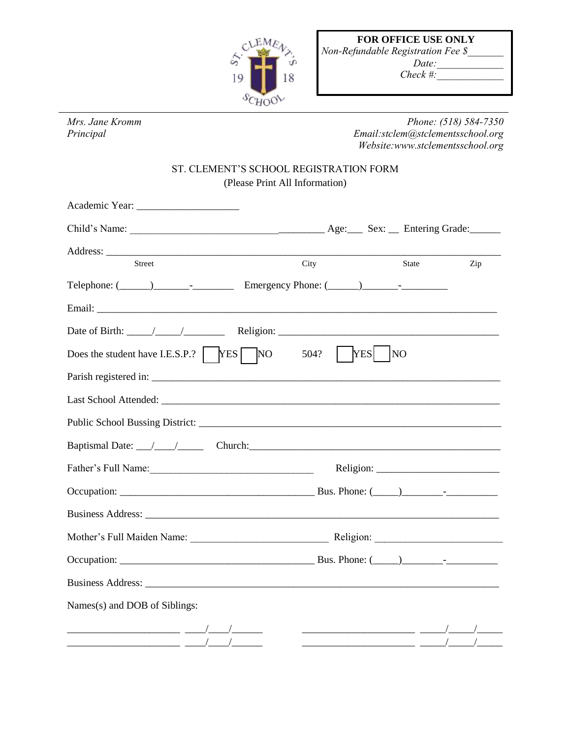

|    | <b>FOR OFFICE USE ONLY</b>                            |
|----|-------------------------------------------------------|
|    | <b>Non-Refundable Registration Fee <math>\</math></b> |
| τß | Date:                                                 |
|    | Check #:                                              |

*Mrs. Jane Kromm Phone: (518) 584-7350 Principal Email:stclem@stclementsschool.org Website:www.stclementsschool.org* 

## ST. CLEMENT'S SCHOOL REGISTRATION FORM (Please Print All Information)

| <b>Street</b>                                                                                                                                                                                                                  | City | State                         | Zip |
|--------------------------------------------------------------------------------------------------------------------------------------------------------------------------------------------------------------------------------|------|-------------------------------|-----|
| Telephone: $(\_\_\_\_\_\_\_\_$ Emergency Phone: $(\_\_\_\_\_\_\_$                                                                                                                                                              |      |                               |     |
|                                                                                                                                                                                                                                |      |                               |     |
|                                                                                                                                                                                                                                |      |                               |     |
| Does the student have I.E.S.P.? $ $ YES $\sqrt{NO}$                                                                                                                                                                            | 504? | <b>YES</b><br>$\overline{NQ}$ |     |
|                                                                                                                                                                                                                                |      |                               |     |
| Last School Attended: University of the Contract of the Contract of the Contract of the Contract of the Contract of the Contract of the Contract of the Contract of the Contract of the Contract of the Contract of the Contra |      |                               |     |
|                                                                                                                                                                                                                                |      |                               |     |
|                                                                                                                                                                                                                                |      |                               |     |
|                                                                                                                                                                                                                                |      |                               |     |
|                                                                                                                                                                                                                                |      |                               |     |
|                                                                                                                                                                                                                                |      |                               |     |
|                                                                                                                                                                                                                                |      |                               |     |
|                                                                                                                                                                                                                                |      |                               |     |
|                                                                                                                                                                                                                                |      |                               |     |
| Names(s) and DOB of Siblings:                                                                                                                                                                                                  |      |                               |     |
|                                                                                                                                                                                                                                |      |                               |     |
|                                                                                                                                                                                                                                |      |                               |     |